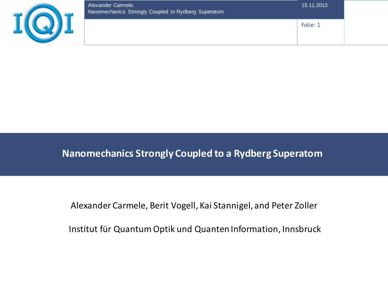| Alexander Carmele:<br>Nanomechanics Strongly Coupled to Rydberg Superatom | 15.11.2013 |  |
|---------------------------------------------------------------------------|------------|--|
|                                                                           | Folie: 1   |  |

# **Nanomechanics Strongly Coupled to a Rydberg Superatom**

#### Alexander Carmele, Berit Vogell, Kai Stannigel, and Peter Zoller

Institut für Quantum Optik und Quanten Information, Innsbruck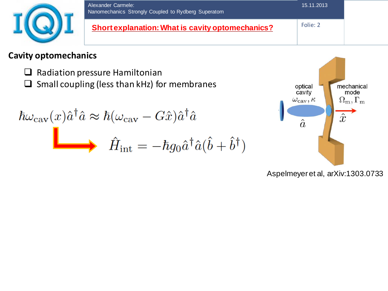

- $\Box$  Radiation pressure Hamiltonian
- $\Box$  Small coupling (less than kHz) for membranes

$$
\hbar\omega_{\text{cav}}(x)\hat{a}^{\dagger}\hat{a} \approx \hbar(\omega_{\text{cav}} - G\hat{x})\hat{a}^{\dagger}\hat{a}
$$
\n
$$
\hat{H}_{\text{int}} = -\hbar g_0 \hat{a}^{\dagger}\hat{a}(\hat{b} + \hat{b}^{\dagger})
$$



#### Aspelmeyer et al, arXiv:1303.0733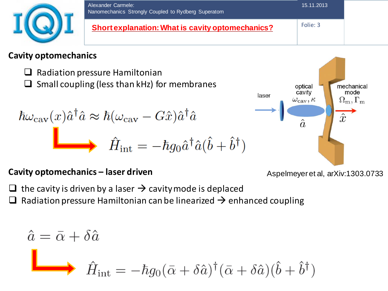

- $\Box$  Radiation pressure Hamiltonian
- $\Box$  Small coupling (less than kHz) for membranes

$$
\hbar\omega_{\text{cav}}(x)\hat{a}^{\dagger}\hat{a} \approx \hbar(\omega_{\text{cav}} - G\hat{x})\hat{a}^{\dagger}\hat{a}
$$
\n
$$
\hat{H}_{\text{int}} = -\hbar g_0 \hat{a}^{\dagger}\hat{a}(\hat{b} + \hat{b}^{\dagger})
$$

#### **Cavity optomechanics – laser driven**



#### Aspelmeyer et al, arXiv:1303.0733

 $\Box$  the cavity is driven by a laser  $\rightarrow$  cavity mode is deplaced Radiation pressure Hamiltonian can be linearized  $\rightarrow$  enhanced coupling

$$
\hat{a} = \bar{\alpha} + \delta \hat{a}
$$
\n
$$
\hat{H}_{int} = -\hbar g_0 (\bar{\alpha} + \delta \hat{a})^{\dagger} (\bar{\alpha} + \delta \hat{a}) (\hat{b} + \hat{b}^{\dagger})
$$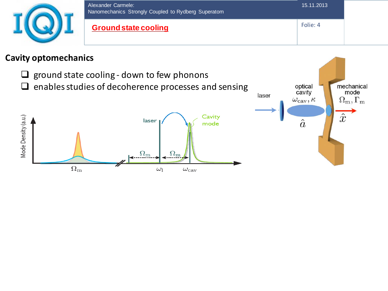

- $\Box$  ground state cooling down to few phonons
- $\Box$  enables studies of decoherence processes and sensing



mechanical

optical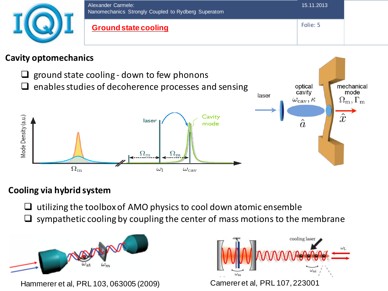

- $\Box$  ground state cooling down to few phonons
- $\Box$  enables studies of decoherence processes and sensing



# **Cooling via hybrid system**

- $\Box$  utilizing the toolbox of AMO physics to cool down atomic ensemble
- sympathetic cooling by coupling the center of mass motions to the membrane



Hammerer et al, PRL 103, 063005 (2009) Camerer et al, PRL 107, 223001



mechanical

optical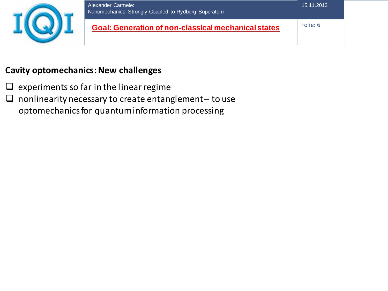

- $\Box$  experiments so far in the linear regime
- $\Box$  nonlinearity necessary to create entanglement to use optomechanics for quantum information processing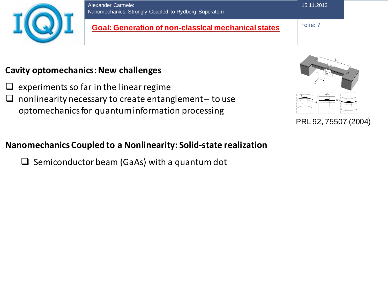

- experiments so far in the linear regime
- $\Box$  nonlinearity necessary to create entanglement to use optomechanics for quantum information processing

# **Nanomechanics Coupled to a Nonlinearity: Solid-state realization**

 $\Box$  Semiconductor beam (GaAs) with a quantum dot



PRL 92, 75507 (2004)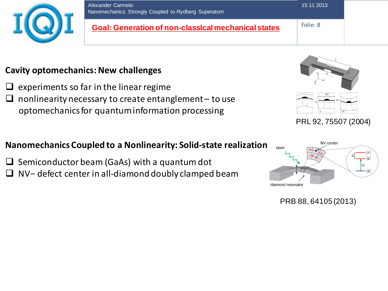

- experiments so far in the linear regime
- nonlinearity necessary to create entanglement to use optomechanics for quantum information processing



PRL 92, 75507 (2004)

#### **Nanomechanics Coupled to a Nonlinearity: Solid-state realization**

- $\Box$  Semiconductor beam (GaAs) with a quantum dot
- NV− defect center in all-diamond doubly clamped beam



PRB 88, 64105 (2013)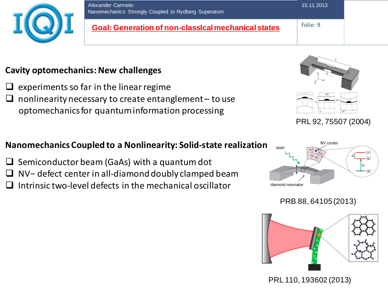

- experiments so far in the linear regime
- nonlinearity necessary to create entanglement to use optomechanics for quantum information processing



PRL 92, 75507 (2004)

#### **Nanomechanics Coupled to a Nonlinearity: Solid-state realization**

- $\Box$  Semiconductor beam (GaAs) with a quantum dot
- NV− defect center in all-diamond doubly clamped beam
- Intrinsic two-level defects in the mechanical oscillator



#### PRB 88, 64105 (2013)

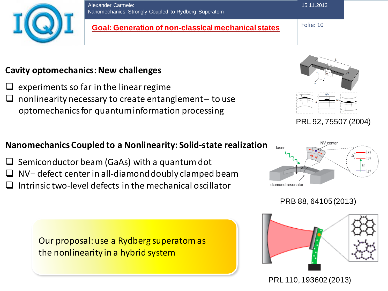

- experiments so far in the linear regime
- nonlinearity necessary to create entanglement to use optomechanics for quantum information processing



- $\Box$  Semiconductor beam (GaAs) with a quantum dot NV− defect center in all-diamond doubly clamped beam
- Intrinsic two-level defects in the mechanical oscillator

Our proposal: use a Rydberg superatom as the nonlinearity in a hybrid system



PRL 92, 75507 (2004)



#### PRB 88, 64105 (2013)

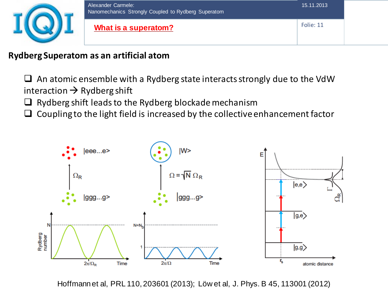

## **Rydberg Superatom as an artificial atom**

 $\Box$  An atomic ensemble with a Rydberg state interacts strongly due to the VdW interaction  $\rightarrow$  Rydberg shift

 $\Box$  Rydberg shift leads to the Rydberg blockade mechanism

 $\Box$  Coupling to the light field is increased by the collective enhancement factor



Hoffmann et al, PRL 110, 203601 (2013); Löw et al, J. Phys. B 45, 113001 (2012)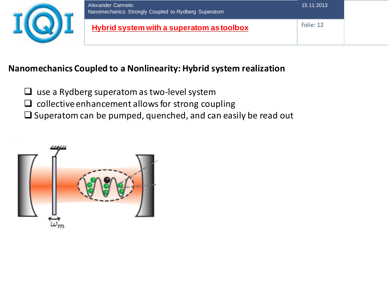

# **Nanomechanics Coupled to a Nonlinearity: Hybrid system realization**

- $\Box$  use a Rydberg superatom as two-level system
- $\Box$  collective enhancement allows for strong coupling
- $\Box$  Superatom can be pumped, quenched, and can easily be read out

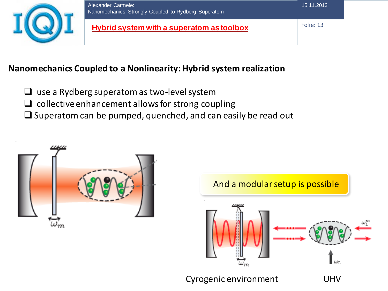

# **Nanomechanics Coupled to a Nonlinearity: Hybrid system realization**

- $\Box$  use a Rydberg superatom as two-level system
- $\Box$  collective enhancement allows for strong coupling
- $\Box$  Superatom can be pumped, quenched, and can easily be read out





Cyrogenic environment UHV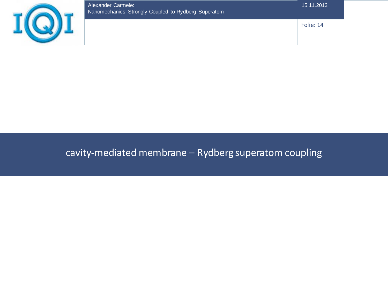| Alexander Carmele:<br>Nanomechanics Strongly Coupled to Rydberg Superatom | 15.11.2013 |  |
|---------------------------------------------------------------------------|------------|--|
|                                                                           | Folie: 14  |  |

# cavity-mediated membrane – Rydberg superatom coupling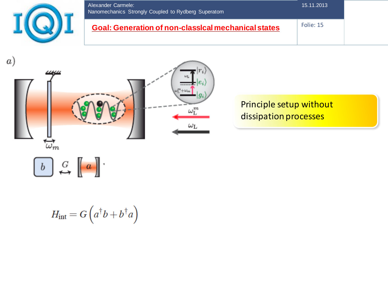



$$
H_{\rm int} = G\left(a^{\dagger}b + b^{\dagger}a\right)
$$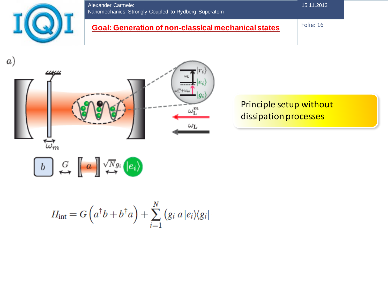



$$
\begin{array}{|c|c|c|c|c|} \hline b & C & a & \sqrt{N}g_i & e_i \end{array}
$$

$$
H_{\text{int}} = G\left(a^{\dagger}b + b^{\dagger}a\right) + \sum_{i=1}^{N} \left(g_i \ a \left|e_i\right\rangle\!\left\langle g_i\right|
$$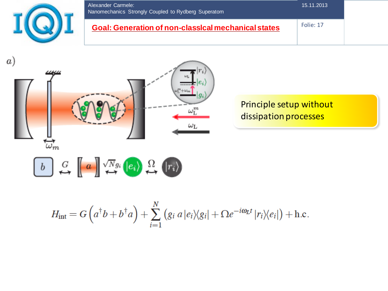



$$
\begin{bmatrix} b & G \\ \downarrow & \downarrow \end{bmatrix} \begin{bmatrix} a & \downarrow \end{bmatrix} \begin{bmatrix} \sqrt{N}g_i & \vert e_i \rangle & \Omega \\ \downarrow & \downarrow & \downarrow \end{bmatrix} \begin{bmatrix} r_i \rangle & \downarrow \end{bmatrix}
$$

$$
H_{\text{int}} = G\left(a^{\dagger}b + b^{\dagger}a\right) + \sum_{i=1}^{N} \left(g_i \ a \left|e_i\right\rangle\!\langle g_i\right| + \Omega e^{-i\omega_L t} \left|r_i\right\rangle\!\langle e_i\right|) + \text{h.c.}
$$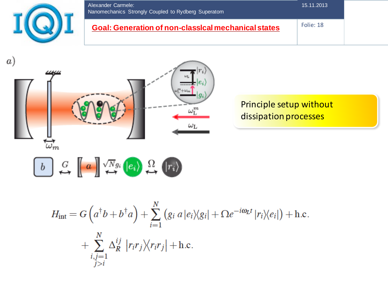



 $\begin{array}{|c|c|c|c|c|} \hline b & \mathcal{G} & \mathbf{a} & \sqrt{N}g_i & e_i \end{array} \begin{array}{c} \mathcal{Q} & \mathcal{Q} & \mathbf{r}_i \end{array}$ 

$$
H_{\text{int}} = G\left(a^{\dagger}b + b^{\dagger}a\right) + \sum_{i=1}^{N} \left(g_{i} a |e_{i}\rangle\langle g_{i}| + \Omega e^{-i\omega_{L}t} |r_{i}\rangle\langle e_{i}| \right) + \text{h.c.}
$$

$$
+ \sum_{\substack{i,j=1\\j>i}}^{N} \Delta_{R}^{ij} |r_{i}r_{j}\rangle\langle r_{i}r_{j}| + \text{h.c.}
$$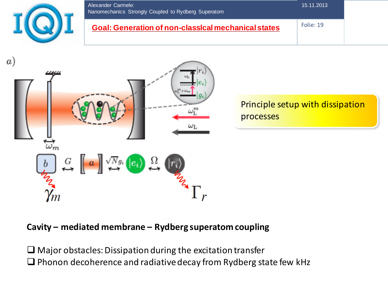



#### **Cavity – mediated membrane – Rydberg superatom coupling**

 $\Box$  Major obstacles: Dissipation during the excitation transfer  $\Box$  Phonon decoherence and radiative decay from Rydberg state few kHz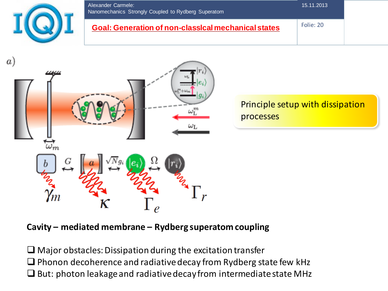



# **Cavity – mediated membrane – Rydberg superatom coupling**

 $\Box$  Major obstacles: Dissipation during the excitation transfer  $\Box$  Phonon decoherence and radiative decay from Rydberg state few kHz  $\Box$  But: photon leakage and radiative decay from intermediate state MHz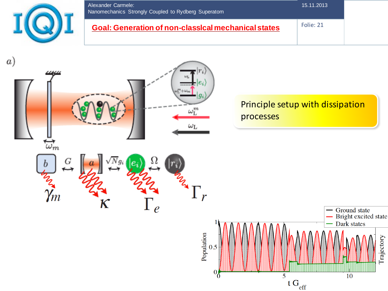

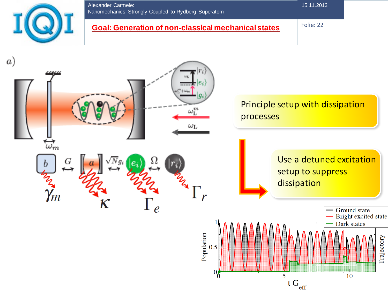

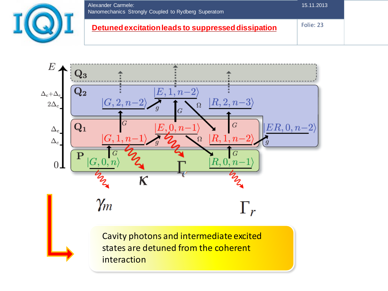



Cavity photons and intermediate excited states are detuned from the coherent interaction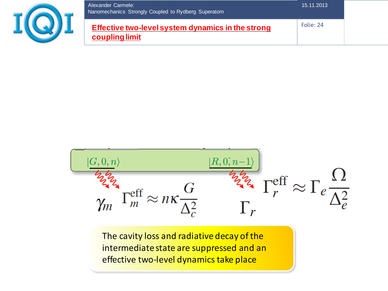| Alexander Carmele:<br>Nanomechanics Strongly Coupled to Rydberg Superatom | 15.11.2013 |  |
|---------------------------------------------------------------------------|------------|--|
| Effective two-level system dynamics in the strong<br>coupling limit       | Folie: 24  |  |



The cavity loss and radiative decay of the intermediate state are suppressed and an effective two-level dynamics take place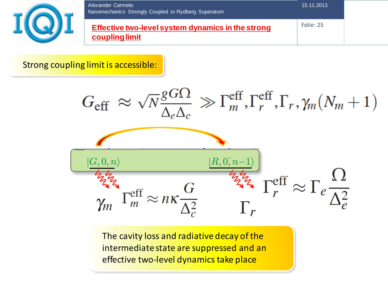| Alexander Carmele:<br>Nanomechanics Strongly Coupled to Rydberg Superatom | 15.11.2013 |  |
|---------------------------------------------------------------------------|------------|--|
| Effective two-level system dynamics in the strong<br>coupling limit       | Folie: 25  |  |

#### Strong coupling limit is accessible:



The cavity loss and radiative decay of the intermediate state are suppressed and an effective two-level dynamics take place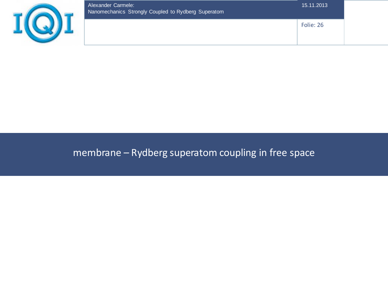| Alexander Carmele:<br>Nanomechanics Strongly Coupled to Rydberg Superatom | 15.11.2013 |  |
|---------------------------------------------------------------------------|------------|--|
|                                                                           | Folie: 26  |  |

# membrane – Rydberg superatom coupling in free space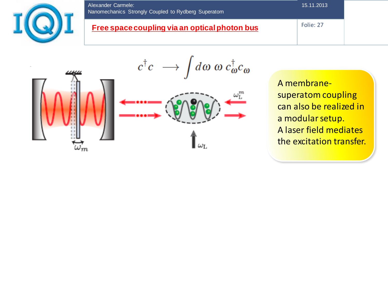

# Alexander Carmele: Nanomechanics Strongly Coupled to Rydberg Superatom

# **Free space coupling via an optical photon bus Follie: 27 Follie: 27**

15.11.2013



A membranesuperatom coupling can also be realized in a modular setup. A laser field mediates the excitation transfer.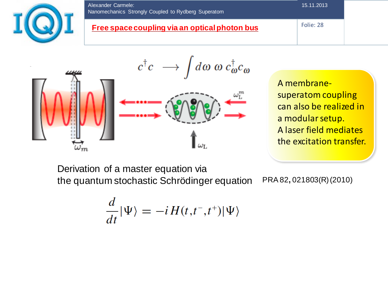



A membranesuperatom coupling can also be realized in a modular setup. A laser field mediates the excitation transfer.

Derivation of a master equation via the quantum stochastic Schrödinger equation PRA 82**,** 021803(R) (2010)

$$
\frac{d}{dt}|\Psi\rangle = -i H(t, t^{-}, t^{+})|\Psi\rangle
$$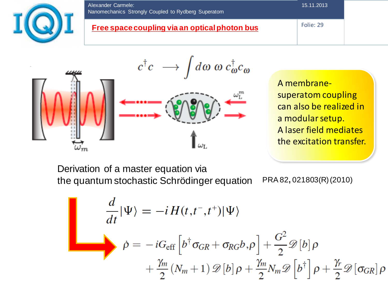



A membranesuperatom coupling can also be realized in a modular setup. A laser field mediates the excitation transfer.

Derivation of a master equation via the quantum stochastic Schrödinger equation PRA 82**,** 021803(R) (2010)

$$
\frac{d}{dt}|\Psi\rangle = -iH(t,t^-,t^+)|\Psi\rangle
$$
\n
$$
\dot{\rho} = -iG_{\text{eff}}\left[b^{\dagger}\sigma_{GR} + \sigma_{RG}b,\rho\right] + \frac{G^2}{2}\mathcal{D}[b]\rho
$$
\n
$$
+ \frac{\gamma_m}{2}(N_m+1)\mathcal{D}[b]\rho + \frac{\gamma_m}{2}N_m\mathcal{D}[b^{\dagger}]\rho + \frac{\gamma_r}{2}\mathcal{D}[\sigma_{GR}]\rho
$$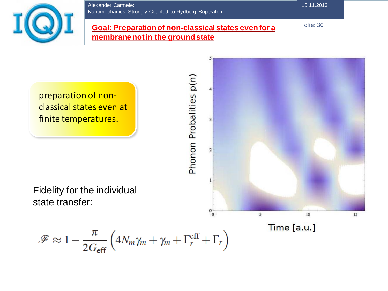

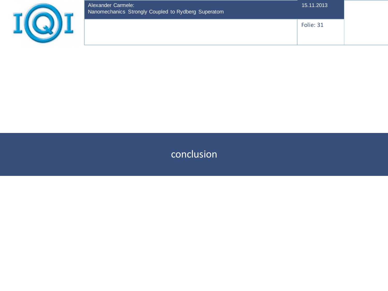

| Alexander Carmele:<br>Nanomechanics Strongly Coupled to Rydberg Superatom | 15.11.2013 |
|---------------------------------------------------------------------------|------------|
|                                                                           | Folie: 31  |

conclusion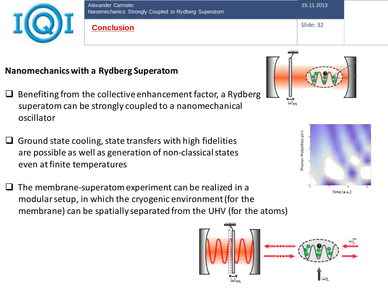

# **Nanomechanics with a Rydberg Superatom**

- $\Box$  Benefiting from the collective enhancement factor, a Rydberg superatom can be strongly coupled to a nanomechanical oscillator
- $\Box$  Ground state cooling, state transfers with high fidelities are possible as well as generation of non-classical states even at finite temperatures
- The membrane-superatom experiment can be realized in a modular setup, in which the cryogenic environment (for the membrane) can be spatially separated from the UHV (for the atoms)









Alexander Carmele: